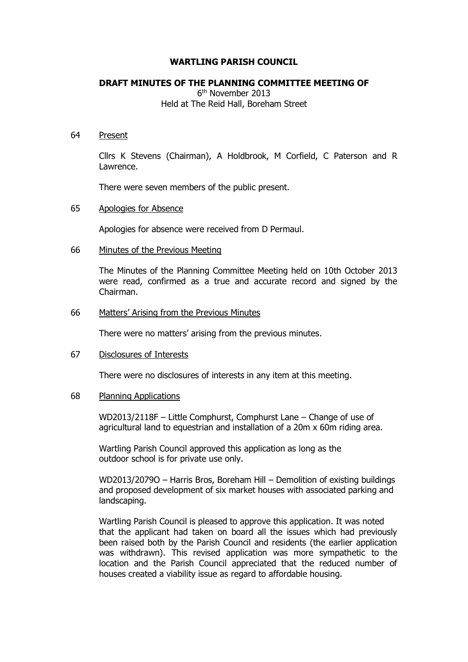### **WARTLING PARISH COUNCIL**

# **DRAFT MINUTES OF THE PLANNING COMMITTEE MEETING OF**

6 th November 2013 Held at The Reid Hall, Boreham Street

### 64 Present

Cllrs K Stevens (Chairman), A Holdbrook, M Corfield, C Paterson and R Lawrence.

There were seven members of the public present.

### 65 Apologies for Absence

Apologies for absence were received from D Permaul.

### 66 Minutes of the Previous Meeting

The Minutes of the Planning Committee Meeting held on 10th October 2013 were read, confirmed as a true and accurate record and signed by the Chairman.

### 66 Matters' Arising from the Previous Minutes

There were no matters' arising from the previous minutes.

#### 67 Disclosures of Interests

There were no disclosures of interests in any item at this meeting.

#### 68 Planning Applications

WD2013/2118F – Little Comphurst, Comphurst Lane – Change of use of agricultural land to equestrian and installation of a 20m x 60m riding area.

Wartling Parish Council approved this application as long as the outdoor school is for private use only.

WD2013/2079O – Harris Bros, Boreham Hill – Demolition of existing buildings and proposed development of six market houses with associated parking and landscaping.

Wartling Parish Council is pleased to approve this application. It was noted that the applicant had taken on board all the issues which had previously been raised both by the Parish Council and residents (the earlier application was withdrawn). This revised application was more sympathetic to the location and the Parish Council appreciated that the reduced number of houses created a viability issue as regard to affordable housing.